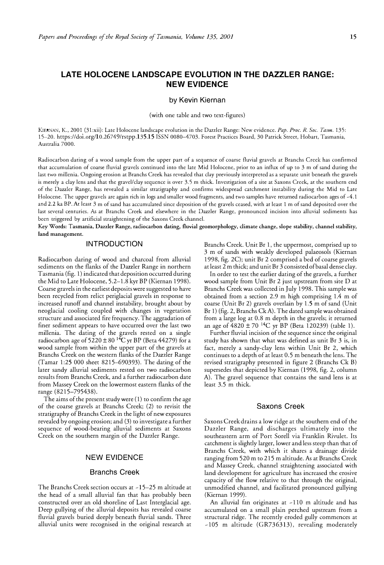# **LATE HOLOCENE LANDSCAPE EVOLUTION IN THE DAZZLER RANGE: NEW EVIDENCE**

## by Kevin Kiernan

(with one table and two text-figures)

KIERNAN, K., 2001 (31:xii): Late Holocene landscape evolution in the Dazzler Range: New evidence. *Pap. Proc. R. Soc. Tasm.* 135: 15-20. https://doi.org/10.26749/rstpp.135.15 ISSN 0080-4703. Forest Practices Board, 30 Patrick Street, Hobart, Tasmania, Australia 7000.

Radiocarbon dating of a wood sample from the upper part of a sequence of coarse fluvial gravels at Branchs Creek has confirmed that accumulation of coarse fluvial gravels continued into the late Mid Holocene, prior to an influx of up to 3 m of sand during the last two millenia. Ongoing erosion at Branchs Creek has revealed that clay previously interpreted as a separate unit beneath the gravels is merely a clay lens and that the gravel/clay sequence is over 3.5 m thick. Investigation of a site at Saxons Creek, at the southern end of the Dazzler Range, has revealed a similar stratigraphy and confirms widespread catchment instability during the Mid to Late Holocene. The upper gravels are again rich in logs and smaller wood fragments, and two samples have returned radiocarbon ages of -4.1 and 2.2 ka BP.At least 3 m of sand has accumulated since deposition ofthe gravels ceased, with at least 1 m ofsand deposited over the last several centuries. As at Branchs Creek and elsewhere in the Dazzler Range, pronounced incision into alluvial sediments has been triggered by artificial straightening of the Saxons Creek channel.

**Key Words: Tasmania, Dazzler Range, radiocarbon dating, fluvial geomorphology, climate change, slope stability, channel stability, land management.** 

#### **INTRODUCTION**

Radiocarbon daring of wood and charcoal from alluvial sediments on the flanks of the Dazzler Range in northern Tasmania (fig. 1) indicated that deposition occurred during the Mid to Late Holocene, 5.2-1.8 kyr BP (Kiernan 1998). Coarse gravels in the earliest deposits were suggested to have been recycled from relict periglacial gravels in response to increased runoff and channel instability, brought about by neoglacial cooling coupled with changes in vegetation structure and associated fire frequency. The aggradation of finer sediment appears to have occurred over the last two millenia. The dating of the gravels rested on a single<br>Figure 1, 1990, 1990, 1990, 1990, 1990, 2000, 1990, 1990, 1990, 1990, 1990, 1990, 1990, 1990, 1990, 1990, 1990 radiocarbon age of  $5220 \pm 80$  <sup>14</sup>C yr BP (Beta 44279) for a wood sample from within the upper part of the gravels at Branchs Creek on the western flanks of the Dazzler Range (Tamar 1:25 000 sheet 8215-690393). The dating of the later sandy alluvial sediments rested on two radiocarbon results from Branchs Creek, and a further radiocarbon date from Massey Creek on the lowermost eastern flanks of the range (8215-795438).

The aims of the present study were  $(1)$  to confirm the age of the coarse gravels at Branchs Creek; (2) to revisit the stratigraphy of Branchs Creek in the light of new exposures revealed by ongoing erosion; and (3) to investigate a further sequence of wood-bearing alluvial sediments at Saxons Creek on the southern margin of the Dazzler Range.

## **NEW EVIDENCE**

#### Branchs Creek

The Branchs Creek section occurs at -15-25 m altitude at the head of a small alluvial fan that has probably been constructed over an old shoreline of Last Interglacial age. Deep gullying of the alluvial deposits has revealed coarse fluvial gravels buried deeply beneath fluvial sands. Three alluvial units were recognised in the original research at Branchs Creek. Unit Br 1, the uppermost, comprised up to 3 m of sands with weakly developed palaeosols (Kiernan 1998, fig. 2C); unit Br 2 comprised a bed of coarse gravels at least 2 m thick; and unit Br 3 consisted ofbasal dense clay.

In order to test the earlier dating of the gravels, a further wood sample from Unit Br 2 just upstream from site D at Branchs Creek was collected in July 1998. This sample was obtained from a section 2.9 m high comprising 1.4 m of coarse (Unit Br 2) gravels overlain by 1.5 m of sand (Unit Br 1) (fig. 2, Branchs Ck A). The dated sample was obtained from a large log at 0.8 m depth in the gravels; it returned an age of  $4820 \pm 70$  <sup>14</sup>C yr BP (Beta 120239) (table 1).

Further fluvial incision of the sequence since the original study has shown that what was defined as unit Br 3 is, in fact, merely a sandy-day lens within Unit Br 2, which continues to a depth of at least 0.5 m beneath the lens. The revised stratigraphy presented in figure 2 (Branchs Ck B) supersedes that depicted by Kiernan (1998, fig. 2, column A). The gravel sequence that contains the sand lens is at least 3.5 m thick.

# Saxons Creek

Saxons Creek drains a low ridge at the southern end of the Dazzler Range, and discharges ultimately into the southeastern arm of Port Sorell via Franklin Rivulet. Its catchment is slightly larger, lower and less steep than that of Branchs Creek, with which it shares a drainage divide ranging from 520 m to 215 m altitude. As at Branchs Creek and Massey Creek, channel straightening associated with land development for agriculture has increased the erosive capacity of the flow relative to that through the original, unmodified channel, and facilitated pronounced gullying (Kiernan 1999).

An alluvial fan originates at -110 m altitude and has accumulated on a small plain perched upstream from a structural ridge. The recently eroded gully commences at -105 m altitude (GR736313), revealing moderately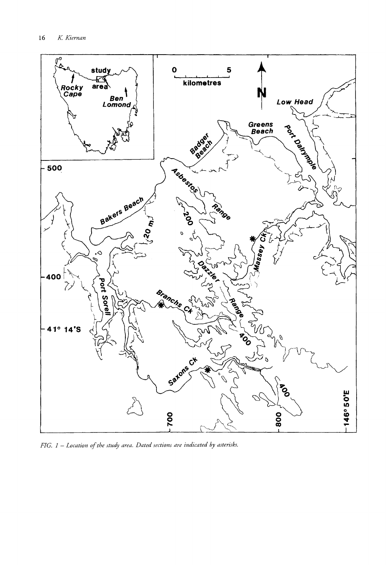

FIG. 1 - Location of the study area. Dated sections are indicated by asterisks.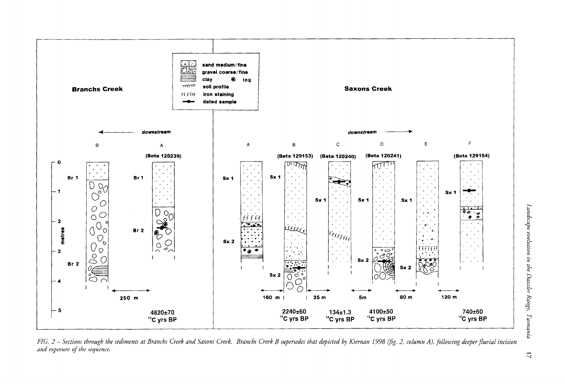

FIG. 2 – Sections through the sediments at Branchs Creek and Saxons Creek. Branchs Creek B supersedes that depicted by Kiernan 1998 (fig. 2, column A), following deeper fluvial incision and exposure of the sequence.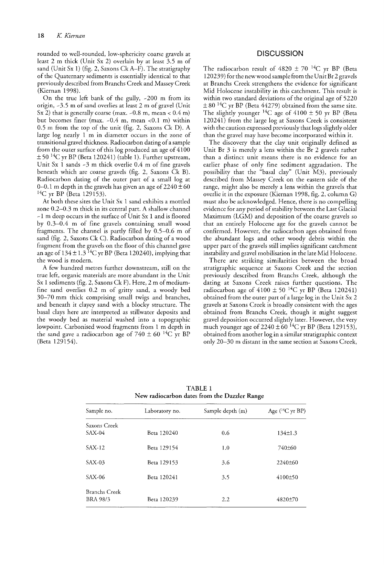rounded to well-rounded, low-sphericity coarse gravels at least 2 m thick (Unit Sx 2) overlain by at least 3.5 m of sand (Unit Sx 1) (fig. 2, Saxons Ck A-F). The stratigraphy of the Quaternary sediments is essentially identical to that previously described from Branchs Creek and Massey Creek (Kiernan 1998).

On the true left bank of the gully, -200 m from its origin, -3.5 m of sand overlies at least 2 m of gravel (Unit Sx 2) that is generally coarse (max.  $-0.8$  m, mean  $< 0.4$  m) but becomes finer (max.  $-0.4$  m, mean  $< 0.1$  m) within 0.5 m from the top of the unit (fig. 2, Saxons Ck D). A large log nearly  $1\text{ m}$  in diameter occurs in the zone of transitional gravel thickness. Radiocarbon dating of a sample from the outer surface of this log produced an age of 4100  $\pm$  50  $^{14}\mathrm{C}$  yr BP (Beta 120241) (table 1). Further upstream, Unit Sx 1 sands  $-3$  m thick overlie 0.4 m of fine gravels beneath which are coarse gravels (fig. 2, Saxons Ck B). Radiocarbon dating of the outer part of a small log at 0-0.1 m depth in the gravels has given an age of  $2240 \pm 60$ <sup>14</sup>C yr BP (Beta 129153).

At both these sites the Unit Sx 1 sand exhibits a mottled zone 0.2-0.3 m thick in its central part. A shallow channel  $-1$  m deep occurs in the surface of Unit Sx 1 and is floored by 0.3-0.4 m of fine gravels containing small wood fragments. The channel is partly filled by 0.5-0.6 m of sand (fig. 2, Saxons Ck C). Radiocarbon dating of a wood fragment from the gravels on the floor of this channel gave an age of  $134 \pm 1.3$  <sup>14</sup>C yr BP (Beta 120240), implying that the wood is modern.

A few hundred metres further downstream, still on the true left, organic materials are more abundant in the Unit Sx 1 sediments (fig. 2, Saxons Ck F). Here, 2 m of mediumfine sand overlies 0.2 m of gritty sand, a woody bed 30-70 mm thick comprising small twigs and branches, and beneath it clayey sand with a blocky structure. The basal clays here are interpreted as stillwater deposits and the woody bed as material washed into a topographic lowpoint. Carbonised wood fragments from 1 m depth in the sand gave a radiocarbon age of  $740 \pm 60$  <sup>14</sup>C yr BP (Beta 129154).

# **DISCUSSION**

The radiocarbon result of  $4820 \pm 70$  <sup>14</sup>C yr BP (Beta 120239) for the newwood sample from the Unit Br 2 gravels at Branchs Creek strengthens the evidence for significant Mid Holocene instability in this catchment. This result is within two standard deviations of the original age of 5220  $\pm 80$  <sup>14</sup>C yr BP (Beta 44279) obtained from the same site. The slightly younger <sup>14</sup>C age of  $4100 \pm 50$  yr BP (Beta 120241) from the large log at Saxons Creek is consistent with the caution expressed previously that logs slightly older than the gravel may have become incorporated within it.

The discovery that the clay unit originally defined as Unit Br 3 is merely a lens within the Br 2 gravels rather than a distinct unit means there is no evidence for an earlier phase of only fine sediment aggradation. The possibility that the "basal clay" (Unit M3), previously described from Massey Creek on the eastern side of the range, might also be merely a lens within the gravels that overlie it in the exposure (Kiernan 1998, fig. 2, column G) must also be acknowledged. Hence, there is no compelling evidence for any period of stability between the Last Glacial Maximum (LGM) and deposition of the coarse gravels so that an entirely Holocene age for the gravels cannot be confirmed. However, the radiocarbon ages obtained from the abundant logs and other woody debris within the upper part of the gravels still implies significant catchment instability and gravel mobilisation in the late Mid Holocene.

There are striking similarities between the broad stratigraphic sequence at Saxons Creek and the section previously described from Branchs Creek, although the dating at Saxons Creek raises further questions. The radiocarbon age of  $4100 \pm 50$  <sup>14</sup>C yr BP (Beta 120241) obtained from the outer part of a large log in the Unit Sx 2 gravels at Saxons Creek is broadly consistent with the ages obtained from Branchs Creek, though it might suggest gravel deposition occurred slightly later. However, the very much younger age of  $2240 \pm 60$  <sup>14</sup>C yr BP (Beta 129153), obtained from another log in a similar stratigraphic context only 20-30 m distant in the same section at Saxons Creek,

TABLE 1 New radiocarbon dates from the Dazzler Range

| Sample no.                | Laboratory no. | Sample depth (m) | Age $(^{14}C$ yr BP) |
|---------------------------|----------------|------------------|----------------------|
| Saxons Creek<br>SAX-04    | Beta 120240    | 0.6              | $134 \pm 1.3$        |
| SAX-12                    | Beta 129154    | 1.0              | 740±60               |
| SAX-03                    | Beta 129153    | 3.6              | $2240\pm 60$         |
| SAX-06                    | Beta 120241    | 3.5              | $4100\pm50$          |
| Branchs Creek<br>BRA 98/3 | Beta 120239    | 2.2              | 4820±70              |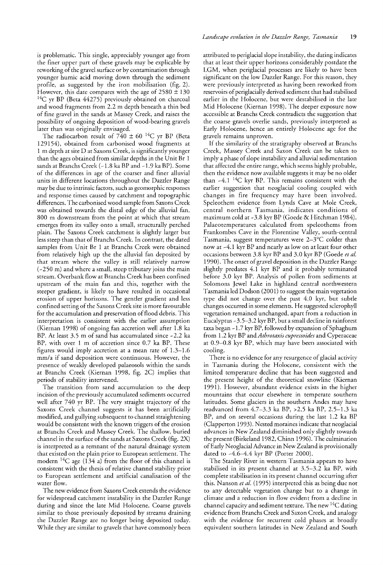is problematic. This single, appreciably younger age from the finer upper part of these gravels may be explicable by reworking of the gravel surface or by contamination through younger humic acid moving down through the sediment profile, as suggested by the iron mobilisation (fig. 2). However, this date compares with the age of  $2580 \pm 130$  $14C$  yr BP (Beta 44275) previously obtained on charcoal and wood fragments from 2.2 m depth beneath a thin bed of fine gravel in the sands at Massey Creek, and raises the possibility of ongoing deposition of wood-bearing gravels later than was originally envisaged.

The radiocarbon result of  $740 \pm 60$  <sup>14</sup>C yr BP (Beta 129154), obtained from carbonised wood fragments at 1 m depth at site D at Saxons Creek, is significantly younger than the ages obtained from similar depths in the Unit Br 1 sands at Branchs Creek (~1.8 ka BP and ~1.9 ka BP). Some of the differences in age of the coarser and finer alluvial units in different locations throughout the Dazzler Range may be due to intrinsic factors, such as geomorphic responses and response times caused by catchment and topographic differences. The carbonised wood sample from Saxons Creek was obtained towards the distal edge of the alluvial fan, 800 m downstream from the point at which that stream emerges from its valley onto a small, structurally perched plain. The Saxons Creek catchment is slightly larger but less steep than that of Branchs Creek. In contrast, the dated samples from Unit Br 1 at Branchs Creek were obtained from relatively high up the the alluvial fan deposited by that stream where the valley is still relatively narrow  $(-250 \text{ m})$  and where a small, steep tributary joins the main stream. Overbank flow at Branchs Creek has been confined upstream of the main fan and this, together with the steeper gradient, is likely to have resulted in occasional erosion of upper horizons. The gentler gradient and less confined setting of the Saxons Creek site is more favourable for the accumulation and preservation of flood debris. This interpretation is consistent with the earlier assumption (Kiernan 1998) of ongoing fan accretion well after 1.8 ka BP. At least  $3.5$  m of sand has accumulated since  $-2.2$  ka BP, with over 1 m of accretion since 0.7 ka BP. These figures would imply accretion at a mean rate of 1.3-1.6 mm/a if sand deposition were continuous. However, the presence of weakly developed palaeosols within the sands at Branchs Creek (Kiernan 1998, fig. 2C) implies that periods of stability intervened.

The transition from sand accumulation to the deep incision of the previously accumulated sediments occurred well after 740 yr BP. The very straight trajectory of the Saxons Creek channel suggests it has been artificially modified, and gullying subsequent to channel straightening would be consistent with the known triggers of the erosion at Branchs Creek and Massey Creek. The shallow, buried channel in the surface of the sands at Saxons Creek (fig. 2X) is interpreted as a remnant of the natural drainage system that existed on the plain prior to European settlement. The modern  $^{14}C$  age (134 a) from the floor of this channel is consistent with the thesis of relative channel stability prior to European settlement and artificial canalisation of the water flow.

The new evidence from Saxons Creek extends the evidence for widespread catchment instability in the Dazzler Range during and since the late Mid Holocene. Coarse gravels similar to those previously deposited by streams draining the Dazzler Range are no longer being deposited today. While they are similar to gravels that have commonly been attributed to periglacial slope instability, the dating indicates that at least their upper horizons considerably postdate the LGM, when periglacial processes are likely to have been significant on the low Dazzler Range. For this reason, they were previously interpreted as having been reworked from reservoirs of periglacially derived sediment that had stabilised earlier in the Holocene, but were destabilised in the late Mid Holocene (Kiernan 1998). The deeper exposure now accessible at Branchs Creek contradicts the suggestion that the coarse gravels overlie sands, previously interpreted as Early Holocene, hence an entirely Holocene age for the gravels remains unproven.

If the similarity of the stratigraphy observed at Branchs Massey Creek and Saxon Creek can be taken to imply a phase of slope instability and alluvial sedimentation that affected the entire range, which seems highly probable, then the evidence now available suggests it may be no older than  $-4.1$  <sup>14</sup>C kyr BP. This remains consistent with the earlier suggestion that neoglacial cooling coupled with changes in fire frequency may have been involved. Speleothem evidence from Lynds Cave at Mole Creek, central northern Tasmania, indicates conditions of maximum cold at -3.8 kyr BP (Goede & Hitchman 1984). Palaeotemperatures calculated from speleothems from Frankombes Cave in the Florentine Valley, south-central Tasmania, suggest temperatures were 2-3°C colder than now at -4.1 kyr BP and nearly as low on at least four other occasions between 3.8 kyr BP and 3.0 kyr BP (Goede *et al.* 1990). The onset of gravel deposition in the Dazzler Range slightly predates 4.1 kyr BP and it probably terminated before 3.0 kyr BP. Analysis of pollen from sediments at Solomons Jewel Lake in highland central northwestern Tasmania led Dodson (2001) to suggest the main vegetation type did not change over the past 4.0 kyr, but subtle changes occurred in some elements. He suggested sclerophyll vegetation remained unchanged, apart from a reduction in Eucalyptus -3.5-3.2 kyr BP, but a small decline in rainforest taxa began  $-1.7$  kyr BP, followed by expansion of Sphaghum from 1.2 kyr BP and *Athrotaxis cupressoides* and Cyperaceae at 0.9-0.8 kyr BP, which may have been associated with cooling.

There is no evidence for any resurgence of glacial activity in Tasmania during the Holocene, consistent with the limited temperature decline that has been suggested and the present height of the theoretical snowline (Kiernan 1991). However, abundant evidence exists in the higher mountains that occur elsewhere in temperate southern latitudes. Some glaciers in the southern Andes may have readvanced from 4.7-3.3 ka BP, >2.5 ka BP, 2.5-1.3 ka BP, and on several occasions during the last 1.2 ka BP (Clapperton 1993). Nested moraines indicate that neoglacial advances in New Zealand diminished only slightly towards the present (Birkeland 1982, Chinn 1996). The culmination ofEarly Neoglacial Advance in New Zealand is provisionally dated to  $-4.6-4.4$  kyr BP (Porter 2000).

The Stanley River in western Tasmania appears to have stabilised in its present channel at 3.5-3.2 ka BP, with complete stabilisation in its present channel occurring after this. Nanson *et al.* (1995) interpreted this as being due not to any detectable vegetation change but to a change in climate and a reduction in flow evident from a decline in channel capacity and sediment texture. The new  $^{14}C$  dating evidence from Branchs Creek and Saxon Creek, and analogy with the evidence for recurrent cold phases at broadly equivalent southern latitudes in New Zealand and South